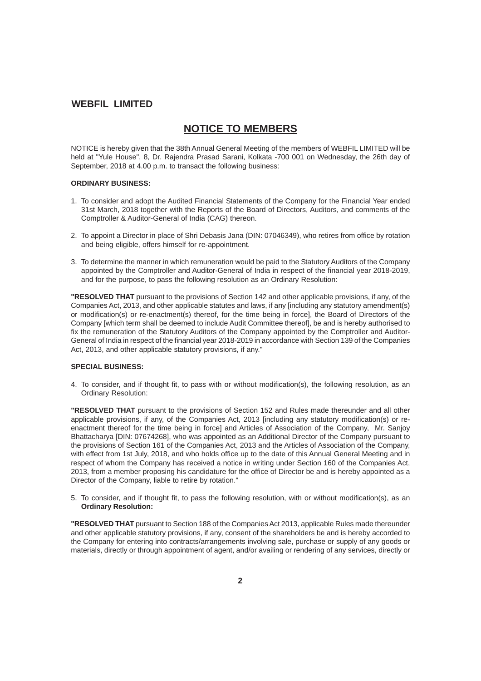# **NOTICE TO MEMBERS**

NOTICE is hereby given that the 38th Annual General Meeting of the members of WEBFIL LIMITED will be held at "Yule House", 8, Dr. Rajendra Prasad Sarani, Kolkata -700 001 on Wednesday, the 26th day of September, 2018 at 4.00 p.m. to transact the following business:

#### **ORDINARY BUSINESS:**

- 1. To consider and adopt the Audited Financial Statements of the Company for the Financial Year ended 31st March, 2018 together with the Reports of the Board of Directors, Auditors, and comments of the Comptroller & Auditor-General of India (CAG) thereon.
- 2. To appoint a Director in place of Shri Debasis Jana (DIN: 07046349), who retires from office by rotation and being eligible, offers himself for re-appointment.
- 3. To determine the manner in which remuneration would be paid to the Statutory Auditors of the Company appointed by the Comptroller and Auditor-General of India in respect of the financial year 2018-2019, and for the purpose, to pass the following resolution as an Ordinary Resolution:

**"RESOLVED THAT** pursuant to the provisions of Section 142 and other applicable provisions, if any, of the Companies Act, 2013, and other applicable statutes and laws, if any [including any statutory amendment(s) or modification(s) or re-enactment(s) thereof, for the time being in force], the Board of Directors of the Company [which term shall be deemed to include Audit Committee thereof], be and is hereby authorised to fix the remuneration of the Statutory Auditors of the Company appointed by the Comptroller and Auditor-General of India in respect of the financial year 2018-2019 in accordance with Section 139 of the Companies Act, 2013, and other applicable statutory provisions, if any."

### **SPECIAL BUSINESS:**

4. To consider, and if thought fit, to pass with or without modification(s), the following resolution, as an Ordinary Resolution:

**"RESOLVED THAT** pursuant to the provisions of Section 152 and Rules made thereunder and all other applicable provisions, if any, of the Companies Act, 2013 [including any statutory modification(s) or reenactment thereof for the time being in force] and Articles of Association of the Company, Mr. Sanjoy Bhattacharya [DIN: 07674268], who was appointed as an Additional Director of the Company pursuant to the provisions of Section 161 of the Companies Act, 2013 and the Articles of Association of the Company, with effect from 1st July, 2018, and who holds office up to the date of this Annual General Meeting and in respect of whom the Company has received a notice in writing under Section 160 of the Companies Act, 2013, from a member proposing his candidature for the office of Director be and is hereby appointed as a Director of the Company, liable to retire by rotation."

5. To consider, and if thought fit, to pass the following resolution, with or without modification(s), as an **Ordinary Resolution:**

**"RESOLVED THAT** pursuant to Section 188 of the Companies Act 2013, applicable Rules made thereunder and other applicable statutory provisions, if any, consent of the shareholders be and is hereby accorded to the Company for entering into contracts/arrangements involving sale, purchase or supply of any goods or materials, directly or through appointment of agent, and/or availing or rendering of any services, directly or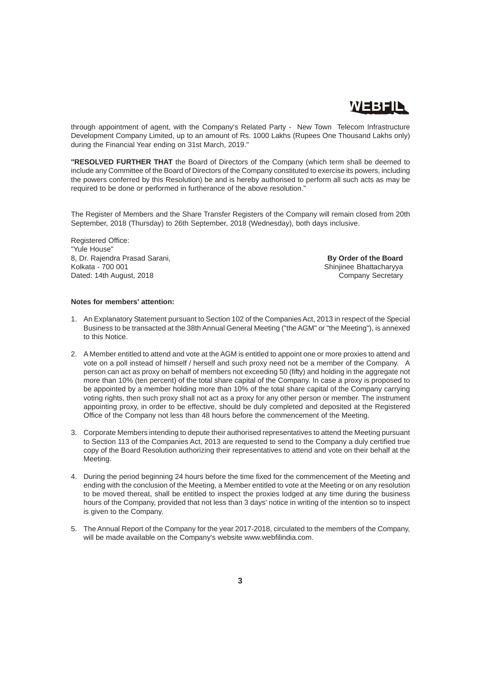

through appointment of agent, with the Company's Related Party - New Town Telecom Infrastructure Development Company Limited, up to an amount of Rs. 1000 Lakhs (Rupees One Thousand Lakhs only) during the Financial Year ending on 31st March, 2019."

**"RESOLVED FURTHER THAT** the Board of Directors of the Company (which term shall be deemed to include any Committee of the Board of Directors of the Company constituted to exercise its powers, including the powers conferred by this Resolution) be and is hereby authorised to perform all such acts as may be required to be done or performed in furtherance of the above resolution."

The Register of Members and the Share Transfer Registers of the Company will remain closed from 20th September, 2018 (Thursday) to 26th September, 2018 (Wednesday), both days inclusive.

Registered Office: "Yule House" 8, Dr. Rajendra Prasad Sarani, **By Order of the Board**<br>
Kolkata - 700 001 **By Order of the Board**<br>
Shiniinee Bhattacharvya Dated: 14th August, 2018 Company Secretary

Shinjinee Bhattacharyya

#### **Notes for members' attention:**

- 1. An Explanatory Statement pursuant to Section 102 of the Companies Act, 2013 in respect of the Special Business to be transacted at the 38th Annual General Meeting ("the AGM" or "the Meeting"), is annexed to this Notice.
- 2. A Member entitled to attend and vote at the AGM is entitled to appoint one or more proxies to attend and vote on a poll instead of himself / herself and such proxy need not be a member of the Company. A person can act as proxy on behalf of members not exceeding 50 (fifty) and holding in the aggregate not more than 10% (ten percent) of the total share capital of the Company. In case a proxy is proposed to be appointed by a member holding more than 10% of the total share capital of the Company carrying voting rights, then such proxy shall not act as a proxy for any other person or member. The instrument appointing proxy, in order to be effective, should be duly completed and deposited at the Registered Office of the Company not less than 48 hours before the commencement of the Meeting.
- 3. Corporate Members intending to depute their authorised representatives to attend the Meeting pursuant to Section 113 of the Companies Act, 2013 are requested to send to the Company a duly certified true copy of the Board Resolution authorizing their representatives to attend and vote on their behalf at the Meeting.
- 4. During the period beginning 24 hours before the time fixed for the commencement of the Meeting and ending with the conclusion of the Meeting, a Member entitled to vote at the Meeting or on any resolution to be moved thereat, shall be entitled to inspect the proxies lodged at any time during the business hours of the Company, provided that not less than 3 days' notice in writing of the intention so to inspect is given to the Company.
- 5. The Annual Report of the Company for the year 2017-2018, circulated to the members of the Company, will be made available on the Company's website www.webfilindia.com.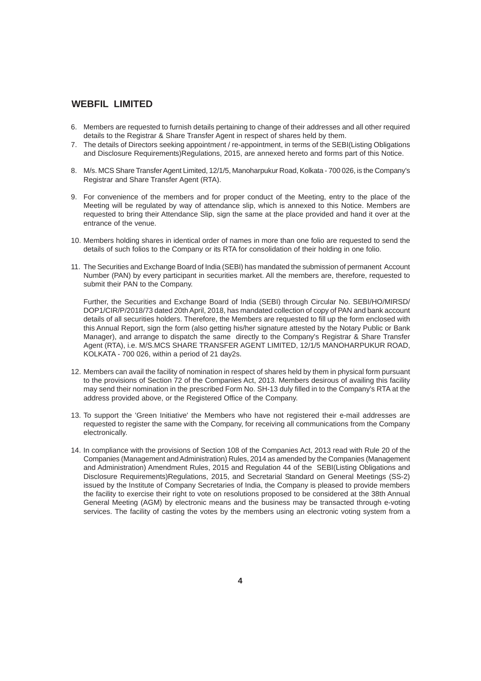- 6. Members are requested to furnish details pertaining to change of their addresses and all other required details to the Registrar & Share Transfer Agent in respect of shares held by them.
- 7. The details of Directors seeking appointment / re-appointment, in terms of the SEBI(Listing Obligations and Disclosure Requirements)Regulations, 2015, are annexed hereto and forms part of this Notice.
- 8. M/s. MCS Share Transfer Agent Limited, 12/1/5, Manoharpukur Road, Kolkata 700 026, is the Company's Registrar and Share Transfer Agent (RTA).
- 9. For convenience of the members and for proper conduct of the Meeting, entry to the place of the Meeting will be regulated by way of attendance slip, which is annexed to this Notice. Members are requested to bring their Attendance Slip, sign the same at the place provided and hand it over at the entrance of the venue.
- 10. Members holding shares in identical order of names in more than one folio are requested to send the details of such folios to the Company or its RTA for consolidation of their holding in one folio.
- 11. The Securities and Exchange Board of India (SEBI) has mandated the submission of permanent Account Number (PAN) by every participant in securities market. All the members are, therefore, requested to submit their PAN to the Company.

Further, the Securities and Exchange Board of India (SEBI) through Circular No. SEBI/HO/MIRSD/ DOP1/CIR/P/2018/73 dated 20th April, 2018, has mandated collection of copy of PAN and bank account details of all securities holders. Therefore, the Members are requested to fill up the form enclosed with this Annual Report, sign the form (also getting his/her signature attested by the Notary Public or Bank Manager), and arrange to dispatch the same directly to the Company's Registrar & Share Transfer Agent (RTA), i.e. M/S.MCS SHARE TRANSFER AGENT LIMITED, 12/1/5 MANOHARPUKUR ROAD, KOLKATA - 700 026, within a period of 21 day2s.

- 12. Members can avail the facility of nomination in respect of shares held by them in physical form pursuant to the provisions of Section 72 of the Companies Act, 2013. Members desirous of availing this facility may send their nomination in the prescribed Form No. SH-13 duly filled in to the Company's RTA at the address provided above, or the Registered Office of the Company.
- 13. To support the 'Green Initiative' the Members who have not registered their e-mail addresses are requested to register the same with the Company, for receiving all communications from the Company electronically.
- 14. In compliance with the provisions of Section 108 of the Companies Act, 2013 read with Rule 20 of the Companies (Management and Administration) Rules, 2014 as amended by the Companies (Management and Administration) Amendment Rules, 2015 and Regulation 44 of the SEBI(Listing Obligations and Disclosure Requirements)Regulations, 2015, and Secretarial Standard on General Meetings (SS-2) issued by the Institute of Company Secretaries of India, the Company is pleased to provide members the facility to exercise their right to vote on resolutions proposed to be considered at the 38th Annual General Meeting (AGM) by electronic means and the business may be transacted through e-voting services. The facility of casting the votes by the members using an electronic voting system from a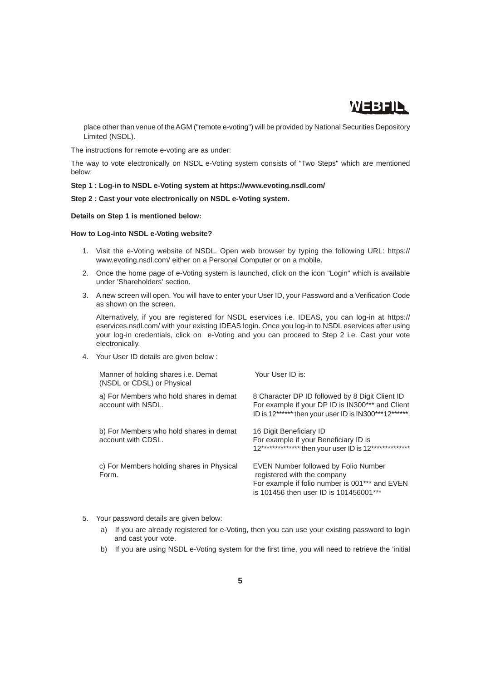

place other than venue of the AGM ("remote e-voting") will be provided by National Securities Depository Limited (NSDL).

The instructions for remote e-voting are as under:

The way to vote electronically on NSDL e-Voting system consists of "Two Steps" which are mentioned below:

#### **Step 1 : Log-in to NSDL e-Voting system at https://www.evoting.nsdl.com/**

### **Step 2 : Cast your vote electronically on NSDL e-Voting system.**

#### **Details on Step 1 is mentioned below:**

#### **How to Log-into NSDL e-Voting website?**

- 1. Visit the e-Voting website of NSDL. Open web browser by typing the following URL: https:// www.evoting.nsdl.com/ either on a Personal Computer or on a mobile.
- 2. Once the home page of e-Voting system is launched, click on the icon "Login" which is available under 'Shareholders' section.
- 3. A new screen will open. You will have to enter your User ID, your Password and a Verification Code as shown on the screen.

Alternatively, if you are registered for NSDL eservices i.e. IDEAS, you can log-in at https:// eservices.nsdl.com/ with your existing IDEAS login. Once you log-in to NSDL eservices after using your log-in credentials, click on e-Voting and you can proceed to Step 2 i.e. Cast your vote electronically.

4. Your User ID details are given below :

| Manner of holding shares <i>i.e.</i> Demat<br>(NSDL or CDSL) or Physical | Your User ID is:                                                                                                                                                |
|--------------------------------------------------------------------------|-----------------------------------------------------------------------------------------------------------------------------------------------------------------|
| a) For Members who hold shares in demat<br>account with NSDL.            | 8 Character DP ID followed by 8 Digit Client ID<br>For example if your DP ID is IN300*** and Client<br>ID is 12****** then your user ID is IN300***12******.    |
| b) For Members who hold shares in demat<br>account with CDSL.            | 16 Digit Beneficiary ID<br>For example if your Beneficiary ID is<br>12*************** then your user ID is 12***************                                    |
| c) For Members holding shares in Physical<br>Form.                       | EVEN Number followed by Folio Number<br>registered with the company<br>For example if folio number is 001*** and EVEN<br>is 101456 then user ID is 101456001*** |

- 5. Your password details are given below:
	- a) If you are already registered for e-Voting, then you can use your existing password to login and cast your vote.
	- b) If you are using NSDL e-Voting system for the first time, you will need to retrieve the 'initial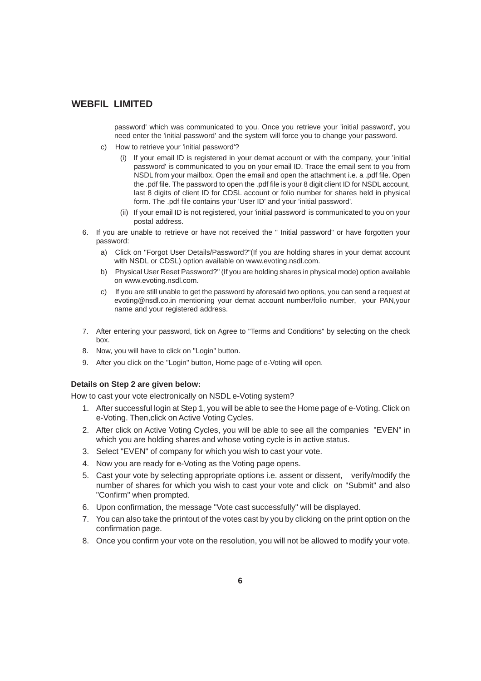password' which was communicated to you. Once you retrieve your 'initial password', you need enter the 'initial password' and the system will force you to change your password.

- c) How to retrieve your 'initial password'?
	- (i) If your email ID is registered in your demat account or with the company, your 'initial password' is communicated to you on your email ID. Trace the email sent to you from NSDL from your mailbox. Open the email and open the attachment i.e. a .pdf file. Open the .pdf file. The password to open the .pdf file is your 8 digit client ID for NSDL account, last 8 digits of client ID for CDSL account or folio number for shares held in physical form. The .pdf file contains your 'User ID' and your 'initial password'.
	- (ii) If your email ID is not registered, your 'initial password' is communicated to you on your postal address.
- 6. If you are unable to retrieve or have not received the " Initial password" or have forgotten your password:
	- a) Click on "Forgot User Details/Password?"(If you are holding shares in your demat account with NSDL or CDSL) option available on www.evoting.nsdl.com.
	- b) Physical User Reset Password?" (If you are holding shares in physical mode) option available on www.evoting.nsdl.com.
	- c) If you are still unable to get the password by aforesaid two options, you can send a request at evoting@nsdl.co.in mentioning your demat account number/folio number, your PAN,your name and your registered address.
- 7. After entering your password, tick on Agree to "Terms and Conditions" by selecting on the check box.
- 8. Now, you will have to click on "Login" button.
- 9. After you click on the "Login" button, Home page of e-Voting will open.

### **Details on Step 2 are given below:**

How to cast your vote electronically on NSDL e-Voting system?

- 1. After successful login at Step 1, you will be able to see the Home page of e-Voting. Click on e-Voting. Then,click on Active Voting Cycles.
- 2. After click on Active Voting Cycles, you will be able to see all the companies "EVEN" in which you are holding shares and whose voting cycle is in active status.
- 3. Select "EVEN" of company for which you wish to cast your vote.
- 4. Now you are ready for e-Voting as the Voting page opens.
- 5. Cast your vote by selecting appropriate options i.e. assent or dissent, verify/modify the number of shares for which you wish to cast your vote and click on "Submit" and also "Confirm" when prompted.
- 6. Upon confirmation, the message "Vote cast successfully" will be displayed.
- 7. You can also take the printout of the votes cast by you by clicking on the print option on the confirmation page.
- 8. Once you confirm your vote on the resolution, you will not be allowed to modify your vote.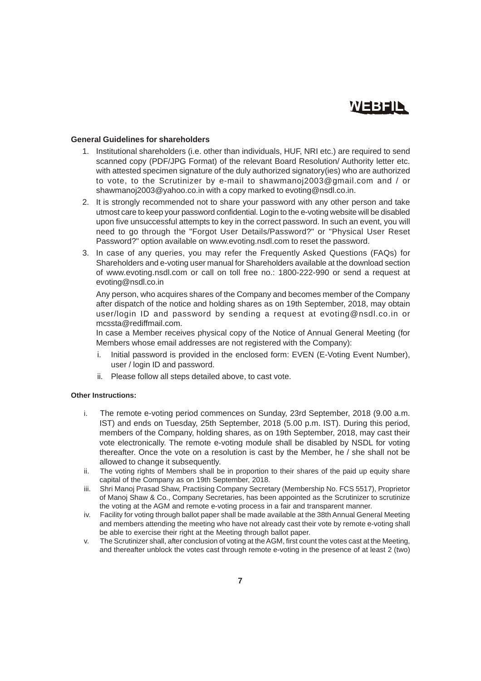

## **General Guidelines for shareholders**

- 1. Institutional shareholders (i.e. other than individuals, HUF, NRI etc.) are required to send scanned copy (PDF/JPG Format) of the relevant Board Resolution/ Authority letter etc. with attested specimen signature of the duly authorized signatory(ies) who are authorized to vote, to the Scrutinizer by e-mail to shawmanoj2003@gmail.com and / or shawmanoj2003@yahoo.co.in with a copy marked to evoting@nsdl.co.in.
- 2. It is strongly recommended not to share your password with any other person and take utmost care to keep your password confidential. Login to the e-voting website will be disabled upon five unsuccessful attempts to key in the correct password. In such an event, you will need to go through the "Forgot User Details/Password?" or "Physical User Reset Password?" option available on www.evoting.nsdl.com to reset the password.
- 3. In case of any queries, you may refer the Frequently Asked Questions (FAQs) for Shareholders and e-voting user manual for Shareholders available at the download section of www.evoting.nsdl.com or call on toll free no.: 1800-222-990 or send a request at evoting@nsdl.co.in

Any person, who acquires shares of the Company and becomes member of the Company after dispatch of the notice and holding shares as on 19th September, 2018, may obtain user/login ID and password by sending a request at evoting@nsdl.co.in or mcssta@rediffmail.com.

In case a Member receives physical copy of the Notice of Annual General Meeting (for Members whose email addresses are not registered with the Company):

- i. Initial password is provided in the enclosed form: EVEN (E-Voting Event Number), user / login ID and password.
- ii. Please follow all steps detailed above, to cast vote.

#### **Other Instructions:**

- i. The remote e-voting period commences on Sunday, 23rd September, 2018 (9.00 a.m. IST) and ends on Tuesday, 25th September, 2018 (5.00 p.m. IST). During this period, members of the Company, holding shares, as on 19th September, 2018, may cast their vote electronically. The remote e-voting module shall be disabled by NSDL for voting thereafter. Once the vote on a resolution is cast by the Member, he / she shall not be allowed to change it subsequently.
- ii. The voting rights of Members shall be in proportion to their shares of the paid up equity share capital of the Company as on 19th September, 2018.
- iii. Shri Manoj Prasad Shaw, Practising Company Secretary (Membership No. FCS 5517), Proprietor of Manoj Shaw & Co., Company Secretaries, has been appointed as the Scrutinizer to scrutinize the voting at the AGM and remote e-voting process in a fair and transparent manner.
- iv. Facility for voting through ballot paper shall be made available at the 38th Annual General Meeting and members attending the meeting who have not already cast their vote by remote e-voting shall be able to exercise their right at the Meeting through ballot paper.
- v. The Scrutinizer shall, after conclusion of voting at the AGM, first count the votes cast at the Meeting, and thereafter unblock the votes cast through remote e-voting in the presence of at least 2 (two)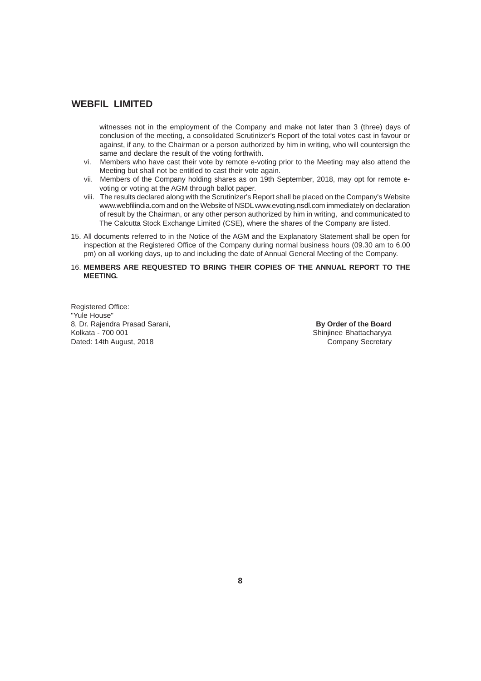witnesses not in the employment of the Company and make not later than 3 (three) days of conclusion of the meeting, a consolidated Scrutinizer's Report of the total votes cast in favour or against, if any, to the Chairman or a person authorized by him in writing, who will countersign the same and declare the result of the voting forthwith.

- vi. Members who have cast their vote by remote e-voting prior to the Meeting may also attend the Meeting but shall not be entitled to cast their vote again.
- vii. Members of the Company holding shares as on 19th September, 2018, may opt for remote evoting or voting at the AGM through ballot paper.
- viii. The results declared along with the Scrutinizer's Report shall be placed on the Company's Website www.webfilindia.com and on the Website of NSDL www.evoting.nsdl.com immediately on declaration of result by the Chairman, or any other person authorized by him in writing, and communicated to The Calcutta Stock Exchange Limited (CSE), where the shares of the Company are listed.
- 15. All documents referred to in the Notice of the AGM and the Explanatory Statement shall be open for inspection at the Registered Office of the Company during normal business hours (09.30 am to 6.00 pm) on all working days, up to and including the date of Annual General Meeting of the Company.
- 16. **MEMBERS ARE REQUESTED TO BRING THEIR COPIES OF THE ANNUAL REPORT TO THE MEETING.**

Registered Office: "Yule House" 8, Dr. Rajendra Prasad Sarani, **By Order of the Board**<br>
Kolkata - 700 001 **Board**<br>
Shinjinee Bhattacharyya Dated: 14th August, 2018

Shinjinee Bhattacharyya<br>Company Secretary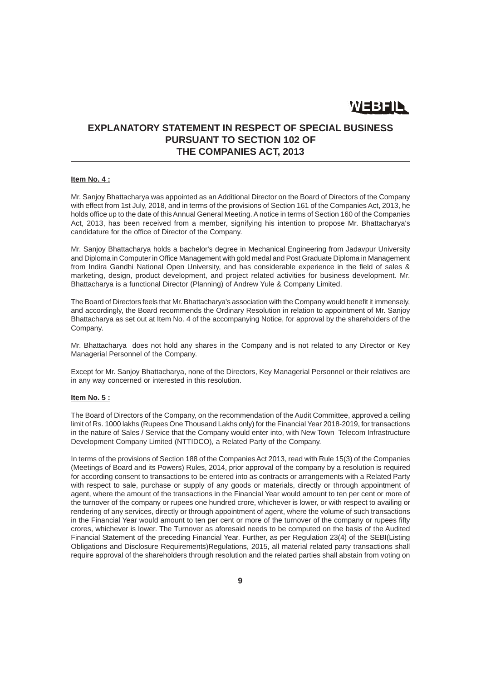WEBFIL

## **EXPLANATORY STATEMENT IN RESPECT OF SPECIAL BUSINESS PURSUANT TO SECTION 102 OF THE COMPANIES ACT, 2013**

#### **Item No. 4 :**

Mr. Sanjoy Bhattacharya was appointed as an Additional Director on the Board of Directors of the Company with effect from 1st July, 2018, and in terms of the provisions of Section 161 of the Companies Act, 2013, he holds office up to the date of this Annual General Meeting. A notice in terms of Section 160 of the Companies Act, 2013, has been received from a member, signifying his intention to propose Mr. Bhattacharya's candidature for the office of Director of the Company.

Mr. Sanjoy Bhattacharya holds a bachelor's degree in Mechanical Engineering from Jadavpur University and Diploma in Computer in Office Management with gold medal and Post Graduate Diploma in Management from Indira Gandhi National Open University, and has considerable experience in the field of sales & marketing, design, product development, and project related activities for business development. Mr. Bhattacharya is a functional Director (Planning) of Andrew Yule & Company Limited.

The Board of Directors feels that Mr. Bhattacharya's association with the Company would benefit it immensely, and accordingly, the Board recommends the Ordinary Resolution in relation to appointment of Mr. Sanjoy Bhattacharya as set out at Item No. 4 of the accompanying Notice, for approval by the shareholders of the Company.

Mr. Bhattacharya does not hold any shares in the Company and is not related to any Director or Key Managerial Personnel of the Company.

Except for Mr. Sanjoy Bhattacharya, none of the Directors, Key Managerial Personnel or their relatives are in any way concerned or interested in this resolution.

#### **Item No. 5 :**

The Board of Directors of the Company, on the recommendation of the Audit Committee, approved a ceiling limit of Rs. 1000 lakhs (Rupees One Thousand Lakhs only) for the Financial Year 2018-2019, for transactions in the nature of Sales / Service that the Company would enter into, with New Town Telecom Infrastructure Development Company Limited (NTTIDCO), a Related Party of the Company.

In terms of the provisions of Section 188 of the Companies Act 2013, read with Rule 15(3) of the Companies (Meetings of Board and its Powers) Rules, 2014, prior approval of the company by a resolution is required for according consent to transactions to be entered into as contracts or arrangements with a Related Party with respect to sale, purchase or supply of any goods or materials, directly or through appointment of agent, where the amount of the transactions in the Financial Year would amount to ten per cent or more of the turnover of the company or rupees one hundred crore, whichever is lower, or with respect to availing or rendering of any services, directly or through appointment of agent, where the volume of such transactions in the Financial Year would amount to ten per cent or more of the turnover of the company or rupees fifty crores, whichever is lower. The Turnover as aforesaid needs to be computed on the basis of the Audited Financial Statement of the preceding Financial Year. Further, as per Regulation 23(4) of the SEBI(Listing Obligations and Disclosure Requirements)Regulations, 2015, all material related party transactions shall require approval of the shareholders through resolution and the related parties shall abstain from voting on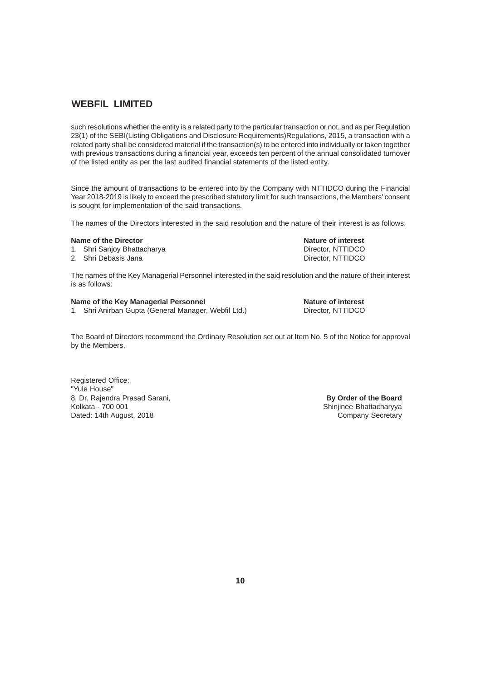such resolutions whether the entity is a related party to the particular transaction or not, and as per Regulation 23(1) of the SEBI(Listing Obligations and Disclosure Requirements)Regulations, 2015, a transaction with a related party shall be considered material if the transaction(s) to be entered into individually or taken together with previous transactions during a financial year, exceeds ten percent of the annual consolidated turnover of the listed entity as per the last audited financial statements of the listed entity.

Since the amount of transactions to be entered into by the Company with NTTIDCO during the Financial Year 2018-2019 is likely to exceed the prescribed statutory limit for such transactions, the Members' consent is sought for implementation of the said transactions.

The names of the Directors interested in the said resolution and the nature of their interest is as follows:

#### **Name of the Director Nature of interest in the Director Nature of interest in the Nature of interest**

1. Shri Sanjoy Bhattacharya **Director, NTTIDCO** 

2. Shri Debasis Jana Director, NTTIDCO

The names of the Key Managerial Personnel interested in the said resolution and the nature of their interest is as follows:

#### **Name of the Key Managerial Personnel Nature of interest interest**

1. Shri Anirban Gupta (General Manager, Webfil Ltd.) Director, NTTIDCO

The Board of Directors recommend the Ordinary Resolution set out at Item No. 5 of the Notice for approval by the Members.

Registered Office: "Yule House" 8, Dr. Rajendra Prasad Sarani, **By Order of the Board** Kolkata - 700 001 Shinjinee Bhattacharyya Dated: 14th August, 2018 Company Secretary Company Secretary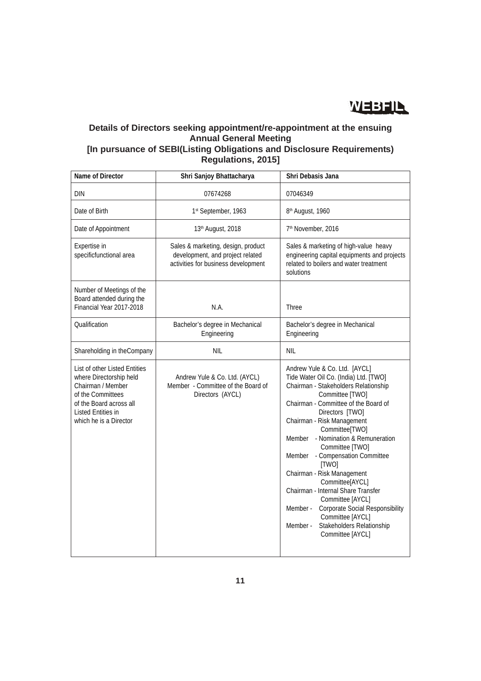

# **Details of Directors seeking appointment/re-appointment at the ensuing Annual General Meeting**

# **[In pursuance of SEBI(Listing Obligations and Disclosure Requirements) Regulations, 2015]**

| Name of Director                                                                                                                                                              | Shri Sanjoy Bhattacharya                                                                                      | Shri Debasis Jana                                                                                                                                                                                                                                                                                                                                                                                                                                                                                                                                                                                  |
|-------------------------------------------------------------------------------------------------------------------------------------------------------------------------------|---------------------------------------------------------------------------------------------------------------|----------------------------------------------------------------------------------------------------------------------------------------------------------------------------------------------------------------------------------------------------------------------------------------------------------------------------------------------------------------------------------------------------------------------------------------------------------------------------------------------------------------------------------------------------------------------------------------------------|
| <b>DIN</b>                                                                                                                                                                    | 07674268                                                                                                      | 07046349                                                                                                                                                                                                                                                                                                                                                                                                                                                                                                                                                                                           |
| Date of Birth                                                                                                                                                                 | 1st September, 1963                                                                                           | 8 <sup>th</sup> August, 1960                                                                                                                                                                                                                                                                                                                                                                                                                                                                                                                                                                       |
| Date of Appointment                                                                                                                                                           | 13th August, 2018                                                                                             | 7 <sup>th</sup> November, 2016                                                                                                                                                                                                                                                                                                                                                                                                                                                                                                                                                                     |
| Expertise in<br>specificfunctional area                                                                                                                                       | Sales & marketing, design, product<br>development, and project related<br>activities for business development | Sales & marketing of high-value heavy<br>engineering capital equipments and projects<br>related to boilers and water treatment<br>solutions                                                                                                                                                                                                                                                                                                                                                                                                                                                        |
| Number of Meetings of the<br>Board attended during the<br>Financial Year 2017-2018                                                                                            | N.A.                                                                                                          | Three                                                                                                                                                                                                                                                                                                                                                                                                                                                                                                                                                                                              |
| Qualification                                                                                                                                                                 | Bachelor's degree in Mechanical<br>Engineering                                                                | Bachelor's degree in Mechanical<br>Engineering                                                                                                                                                                                                                                                                                                                                                                                                                                                                                                                                                     |
| Shareholding in theCompany                                                                                                                                                    | <b>NIL</b>                                                                                                    | <b>NIL</b>                                                                                                                                                                                                                                                                                                                                                                                                                                                                                                                                                                                         |
| List of other Listed Entities<br>where Directorship held<br>Chairman / Member<br>of the Committees<br>of the Board across all<br>Listed Entities in<br>which he is a Director | Andrew Yule & Co. Ltd. (AYCL)<br>Member - Committee of the Board of<br>Directors (AYCL)                       | Andrew Yule & Co. Ltd. [AYCL]<br>Tide Water Oil Co. (India) Ltd. [TWO]<br>Chairman - Stakeholders Relationship<br>Committee [TWO]<br>Chairman - Committee of the Board of<br>Directors [TWO]<br>Chairman - Risk Management<br>Committee[TWO]<br>- Nomination & Remuneration<br>Member<br>Committee [TWO]<br>- Compensation Committee<br>Member<br>[TWO]<br>Chairman - Risk Management<br>Committee[AYCL]<br>Chairman - Internal Share Transfer<br>Committee [AYCL]<br>Corporate Social Responsibility<br>Member -<br>Committee [AYCL]<br>Stakeholders Relationship<br>Member -<br>Committee [AYCL] |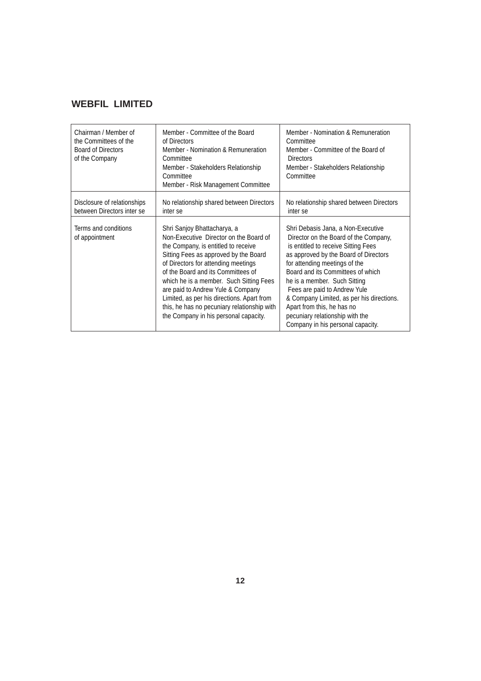| Chairman / Member of<br>the Committees of the<br><b>Board of Directors</b><br>of the Company | Member - Committee of the Board<br>of Directors<br>Member - Nomination & Remuneration<br>Committee<br>Member - Stakeholders Relationship<br>Committee<br>Member - Risk Management Committee                                                                                                                                                                                                                                                              | Member - Nomination & Remuneration<br>Committee<br>Member - Committee of the Board of<br><b>Directors</b><br>Member - Stakeholders Relationship<br>Committee                                                                                                                                                                                                                                                                                         |
|----------------------------------------------------------------------------------------------|----------------------------------------------------------------------------------------------------------------------------------------------------------------------------------------------------------------------------------------------------------------------------------------------------------------------------------------------------------------------------------------------------------------------------------------------------------|------------------------------------------------------------------------------------------------------------------------------------------------------------------------------------------------------------------------------------------------------------------------------------------------------------------------------------------------------------------------------------------------------------------------------------------------------|
| Disclosure of relationships<br>between Directors inter se                                    | No relationship shared between Directors<br>inter se                                                                                                                                                                                                                                                                                                                                                                                                     | No relationship shared between Directors<br>inter se                                                                                                                                                                                                                                                                                                                                                                                                 |
| Terms and conditions<br>of appointment                                                       | Shri Sanjoy Bhattacharya, a<br>Non-Executive Director on the Board of<br>the Company, is entitled to receive<br>Sitting Fees as approved by the Board<br>of Directors for attending meetings<br>of the Board and its Committees of<br>which he is a member. Such Sitting Fees<br>are paid to Andrew Yule & Company<br>Limited, as per his directions. Apart from<br>this, he has no pecuniary relationship with<br>the Company in his personal capacity. | Shri Debasis Jana, a Non-Executive<br>Director on the Board of the Company,<br>is entitled to receive Sitting Fees<br>as approved by the Board of Directors<br>for attending meetings of the<br>Board and its Committees of which<br>he is a member. Such Sitting<br>Fees are paid to Andrew Yule<br>& Company Limited, as per his directions.<br>Apart from this, he has no<br>pecuniary relationship with the<br>Company in his personal capacity. |